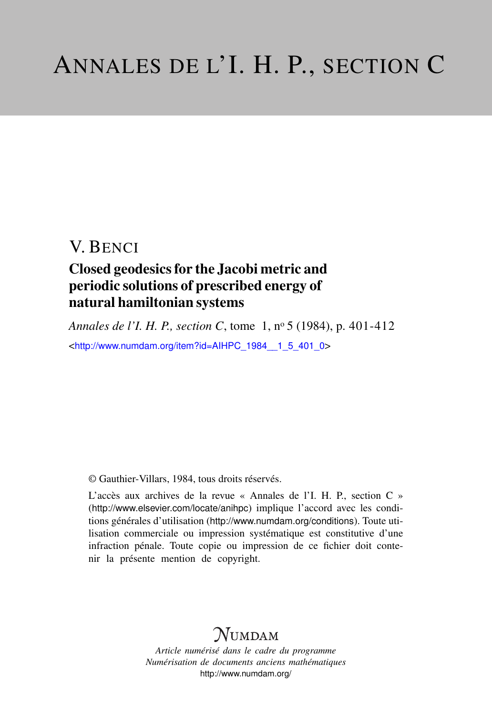### Closed geodesics for the Jacobi metric and periodic solutions of prescribed energy of natural hamiltonian systems

*Annales de l'I. H. P., section C*, tome 1, n<sup>o</sup> 5 (1984), p. 401-412 <[http://www.numdam.org/item?id=AIHPC\\_1984\\_\\_1\\_5\\_401\\_0](http://www.numdam.org/item?id=AIHPC_1984__1_5_401_0)>

© Gauthier-Villars, 1984, tous droits réservés.

L'accès aux archives de la revue « Annales de l'I. H. P., section C » (<http://www.elsevier.com/locate/anihpc>) implique l'accord avec les conditions générales d'utilisation (<http://www.numdam.org/conditions>). Toute utilisation commerciale ou impression systématique est constitutive d'une infraction pénale. Toute copie ou impression de ce fichier doit contenir la présente mention de copyright.

# $N$ UMDAM

*Article numérisé dans le cadre du programme Numérisation de documents anciens mathématiques* <http://www.numdam.org/>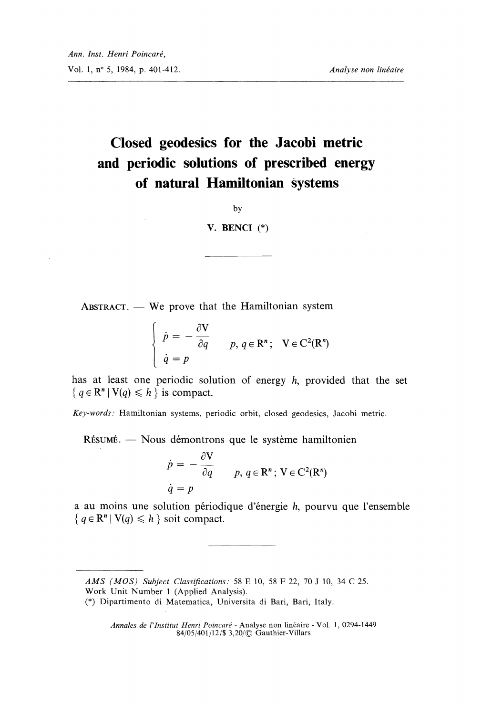÷.

# Closed geodesics for the Jacobi metric and periodic solutions of prescribed energy of natural Hamiltonian systems

by

### V. BENCI (\*)

 $ABSTRACT.$  We prove that the Hamiltonian system

$$
\begin{cases}\n\dot{p} = -\frac{\partial \mathbf{V}}{\partial q} \\
\dot{q} = p\n\end{cases}
$$
\n $p, q \in \mathbb{R}^n$ ;  $\mathbf{V} \in C^2(\mathbb{R}^n)$ 

has at least one periodic solution of energy h, provided that the set  ${q \in \mathbb{R}^n \mid V(q) \leq h}$  is compact.

Key-words: Hamiltonian systems, periodic orbit, closed geodesics, Jacobi metric.

RÉSUMÉ. — Nous démontrons que le système hamiltonien

$$
\dot{p} = -\frac{\partial V}{\partial q} \qquad p, q \in \mathbb{R}^n; V \in C^2(\mathbb{R}^n)
$$

$$
\dot{q} = p
$$

a au moins une solution périodique d'énergie  $h$ , pourvu que l'ensemble  ${q \in \mathbb{R}^n | V(q) \leq h}$  soit compact.

Annales de l'Institut Henri Poincaré - Analyse non linéaire - Vol. 1, 0294-1449 84/05/401/12/\$ 3,20/© Gauthier-Villars

AMS (MOS) Subject Classifications : 58 E 10, 58 F 22, 70 J 10, 34 C 25. Work Unit Number 1 (Applied Analysis).

<sup>(\*)</sup> Dipartimento di Matematica, Universita di Bari, Bari, Italy.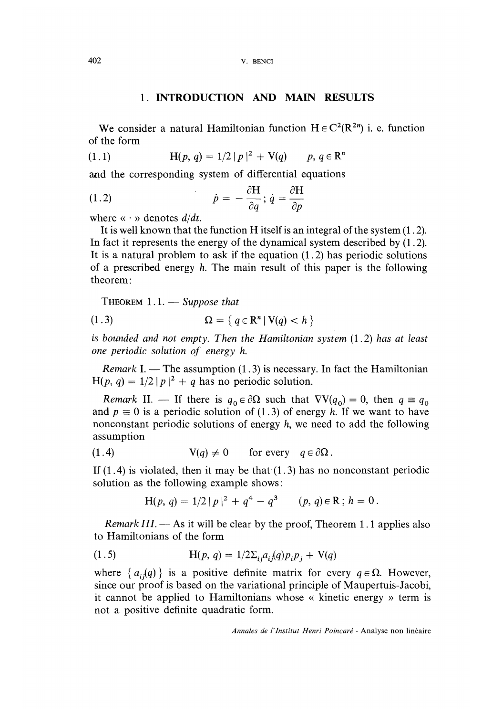#### 1. INTRODUCTION AND MAIN RESULTS

We consider a natural Hamiltonian function  $H \in C^2(\mathbb{R}^{2n})$  i. e. function of the form

$$
(1.1) \tH(p, q) = 1/2 |p|^2 + V(q) \t p, q \in \mathbb{R}^n
$$

and the corresponding system of differential equations

(1.2) 
$$
\dot{p} = -\frac{\partial H}{\partial q}; \dot{q} = \frac{\partial H}{\partial p}
$$

where  $\langle \cdot \rangle$  denotes  $d/dt$ .

It is well known that the function H itself is an integral of the system (1. 2). In fact it represents the energy of the dynamical system described by (1.2). It is a natural problem to ask if the equation (1.2) has periodic solutions of a prescribed energy h. The main result of this paper is the following theorem :

THEOREM  $1.1.$  - Suppose that

$$
\Omega = \{ q \in \mathbb{R}^n \mid V(q) < h \}
$$

is bounded and not empty. Then the Hamiltonian system (1.2) has at least one periodic solution of energy h.

Remark I. — The assumption  $(1.3)$  is necessary. In fact the Hamiltonian  $H(p, q) = 1/2 |p|^2 + q$  has no periodic solution.

Remark II. — If there is  $q_0 \in \partial \Omega$  such that  $\nabla V(q_0) = 0$ , then  $q \equiv q_0$ and  $p \equiv 0$  is a periodic solution of (1.3) of energy h. If we want to have nonconstant periodic solutions of energy h, we need to add the following assumption

(1.4) 
$$
V(q) \neq 0
$$
 for every  $q \in \partial\Omega$ .

If  $(1.4)$  is violated, then it may be that  $(1.3)$  has no nonconstant periodic solution as the following example shows :

$$
H(p, q) = 1/2 |p|^2 + q^4 - q^3 \qquad (p, q) \in \mathbb{R} \; ; \; h = 0 \, .
$$

*Remark III.*  $-$  As it will be clear by the proof, Theorem 1.1 applies also to Hamiltonians of the form

(1.5) 
$$
H(p, q) = 1/2 \sum_{i} a_{i} (q) p_{i} p_{j} + V(q)
$$

where  $\{a_{i,j}(q)\}\$ is a positive definite matrix for every  $q \in \Omega$ . However, since our proof is based on the variational principle of Maupertuis-Jacobi, it cannot be applied to Hamiltonians whose « kinetic energy » term is not a positive definite quadratic form.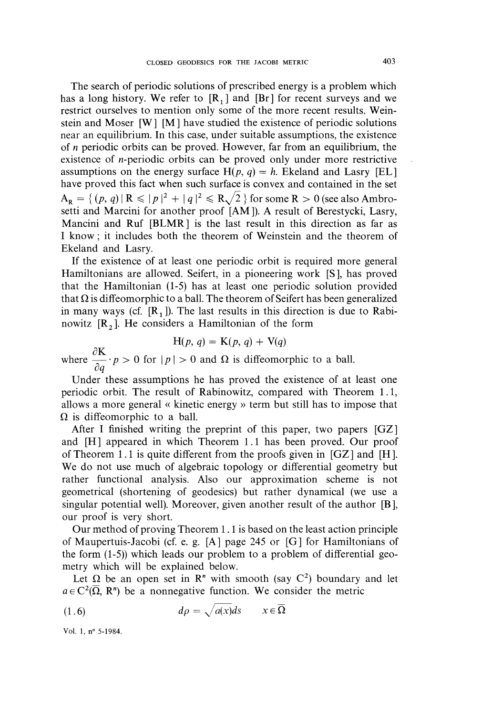The search of periodic solutions of prescribed energy is a problem which has a long history. We refer to  $[R_1]$  and  $[Br]$  for recent surveys and we restrict ourselves to mention only some of the more recent results. Weinstein and Moser [W ] [M ] have studied the existence of periodic solutions near an equilibrium. In this case, under suitable assumptions, the existence of n periodic orbits can be proved. However, far from an equilibrium, the existence of n-periodic orbits can be proved only under more restrictive assumptions on the energy surface  $H(p, q) = h$ . Ekeland and Lasry [EL] have proved this fact when such surface is convex and contained in the set  $A_{R} = \{ (p, q) | R \leq |p|^{2} + |q|^{2} \leq R\sqrt{2} \}$  for some  $R > 0$  (see also Ambrosetti and Marcini for another proof [AM ]). A result of Berestycki, Lasry, Mancini and Ruf [BLMR] is the last result in this direction as far as I know ; it includes both the theorem of Weinstein and the theorem of Ekeland and Lasry.

If the existence of at least one periodic orbit is required more general Hamiltonians are allowed. Seifert, in a pioneering work [S ], has proved that the Hamiltonian (1-5) has at least one periodic solution provided that  $\Omega$  is diffeomorphic to a ball. The theorem of Seifert has been generalized in many ways (cf.  $[R_1]$ ). The last results in this direction is due to Rabinowitz  $[R_2]$ . He considers a Hamiltonian of the form

$$
H(p, q) = K(p, q) + V(q)
$$

where  $\frac{\partial K}{\partial q} \cdot p > 0$  for  $|p| > 0$  and  $\Omega$  is diffeomorphic to a ball.

Under these assumptions he has proved the existence of at least one periodic orbit. The result of Rabinowitz, compared with Theorem 1.1, allows a more general « kinetic energy » term but still has to impose that  $\Omega$  is diffeomorphic to a ball.

After I finished writing the preprint of this paper, two papers [GZ] ] and  $[H]$  appeared in which Theorem 1.1 has been proved. Our proof of Theorem 1.1 is quite different from the proofs given in  $[GZ]$  and  $[H]$ . We do not use much of algebraic topology or differential geometry but rather functional analysis. Also our approximation scheme is not geometrical (shortening of geodesics) but rather dynamical (we use a singular potential well). Moreover, given another result of the author [B ], our proof is very short.

Our method of proving Theorem 1.1 is based on the least action principle of Maupertuis-Jacobi (cf. e. g.  $[A]$  page 245 or  $[G]$  for Hamiltonians of the form (1-5)) which leads our problem to a problem of differential geometry which will be explained below.

Let  $\Omega$  be an open set in R<sup>n</sup> with smooth (say C<sup>2</sup>) boundary and let  $a \in C^2(\overline{\Omega}, R^n)$  be a nonnegative function. We consider the metric

$$
(1.6) \t\t d\rho = \sqrt{a(x)ds} \t x \in \overline{\Omega}
$$

Vol. 1, n° 5-1984.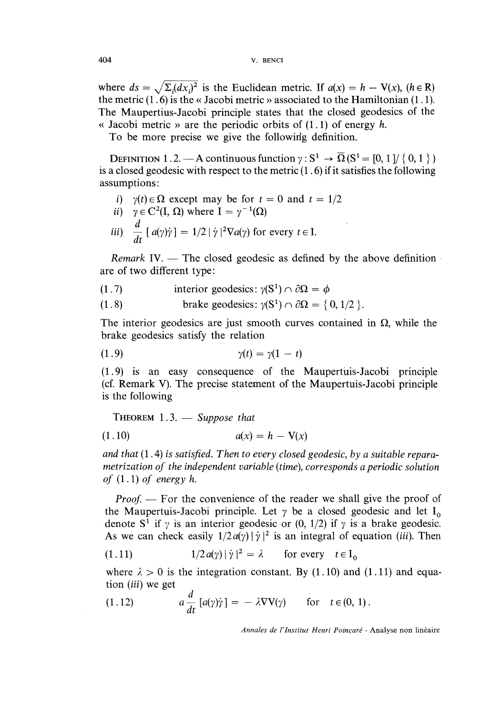where  $ds = \sqrt{\sum_i (dx_i)^2}$  is the Euclidean metric. If  $a(x) = h - V(x)$ ,  $(h \in \mathbb{R})$ the metric (1. 6) is the « Jacobi metric » associated to the Hamiltonian (1.1). The Maupertius-Jacobi principle states that the closed geodesics of the « Jacobi metric » are the periodic orbits of  $(1.1)$  of energy h.

To be more precise we give the following definition.

DEFINITION 1.2. - A continuous function  $\gamma: S^1 \to \overline{\Omega}(S^1 = [0, 1] / \{0, 1\})$ is a closed geodesic with respect to the metric (1. 6) if it satisfies the following assumptions :

- i)  $y(t) \in \Omega$  except may be for  $t = 0$  and  $t = 1/2$
- ii)  $\gamma \in C^2(I, \Omega)$  where  $I = \gamma^{-1}(\Omega)$
- iii)  $\frac{d}{dt} [a(\gamma)\dot{\gamma}] = 1/2 |\dot{\gamma}|^2 \nabla a(\gamma)$  for every  $t \in I$ .

Remark IV.  $-$  The closed geodesic as defined by the above definition are of two different type :

- (1.7) interior geodesics:  $\gamma(S^1) \cap \partial \Omega = \phi$
- (1.8) brake geodesics:  $\gamma(S^1) \cap \partial \Omega = \{0, 1/2\}$ .

The interior geodesics are just smooth curves contained in  $\Omega$ , while the brake geodesics satisfy the relation

$$
\gamma(t) = \gamma(1-t)
$$

(1.9) is an easy consequence of the Maupertuis-Jacobi principle (cf. Remark V). The precise statement of the Maupertuis-Jacobi principle is the following

THEOREM  $1.3.$  - Suppose that

$$
(1.10) \qquad \qquad a(x) = h - V(x)
$$

and that  $(1.4)$  is satisfied. Then to every closed geodesic, by a suitable reparametrization of the independent variable (time), corresponds a periodic solution of  $(1.1)$  of energy h.

*Proof.* — For the convenience of the reader we shall give the proof of the Maupertuis-Jacobi principle. Let  $\gamma$  be a closed geodesic and let I<sub>0</sub> denote S<sup>1</sup> if  $\gamma$  is an interior geodesic or (0, 1/2) if  $\gamma$  is a brake geodesic. As we can check easily  $1/2 a(y) |\dot{y}|^2$  is an integral of equation (*iii*). Then

(1.11) 
$$
1/2 a(\gamma) |\dot{\gamma}|^2 = \lambda \quad \text{for every} \quad t \in I_0
$$

where  $\lambda > 0$  is the integration constant. By (1.10) and (1.11) and equation  $(iii)$  we get

(1.12) 
$$
a \frac{d}{dt} [a(\gamma)\dot{\gamma}] = -\lambda \nabla V(\gamma) \quad \text{for} \quad t \in (0, 1).
$$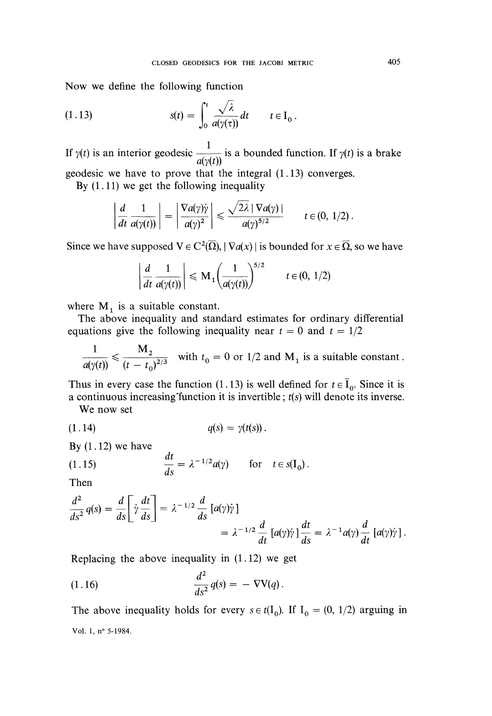Now we define the following function

(1.13) 
$$
s(t) = \int_0^t \frac{\sqrt{\lambda}}{a(\gamma(\tau))} dt \qquad t \in I_0.
$$

If  $\gamma(t)$  is an interior geodesic  $\frac{1}{\sigma(s(t))}$  is a bounded function. If  $\gamma(t)$  is a brake geodesic we have to prove that the integral  $(1.13)$  converges.

By  $(1.11)$  we get the following inequality

$$
\left|\frac{d}{dt}\frac{1}{a(\gamma(t))}\right| = \left|\frac{\nabla a(\gamma)\dot{\gamma}}{a(\gamma)^2}\right| \leq \frac{\sqrt{2\lambda}|\nabla a(\gamma)|}{a(\gamma)^{5/2}} \qquad t \in (0, 1/2).
$$

Since we have supposed  $V \in C^2(\overline{\Omega}), |\nabla a(x)|$  is bounded for  $x \in \overline{\Omega}$ , so we have

$$
\left| \frac{d}{dt} \frac{1}{a(\gamma(t))} \right| \le M_1 \left( \frac{1}{a(\gamma(t))} \right)^{5/2} \qquad t \in (0, 1/2)
$$

where  $M_1$  is a suitable constant.

The above inequality and standard estimates for ordinary differential equations give the following inequality near  $t = 0$  and  $t = 1/2$ 

$$
\frac{1}{a(\gamma(t))} \leqslant \frac{M_2}{(t - t_0)^{2/3}}
$$
 with  $t_0 = 0$  or  $1/2$  and  $M_1$  is a suitable constant.

Thus in every case the function (1.13) is well defined for  $t \in \bar{I}_0$ . Since it is a continuous increasing function it is invertible;  $t(s)$  will denote its inverse.

We now set

$$
(1.14) \t\t q(s) = \gamma(t(s))
$$

By  $(1.12)$  we have

(1.15) 
$$
\frac{dt}{ds} = \lambda^{-1/2} a(\gamma) \quad \text{for} \quad t \in s(I_0).
$$

Then

$$
\frac{d^2}{ds^2}q(s) = \frac{d}{ds}\left[\dot{\gamma}\frac{dt}{ds}\right] = \lambda^{-1/2}\frac{d}{ds}\left[a(\gamma)\dot{\gamma}\right]
$$

$$
= \lambda^{-1/2}\frac{d}{dt}\left[a(\gamma)\dot{\gamma}\right]\frac{dt}{ds} = \lambda^{-1}a(\gamma)\frac{d}{dt}\left[a(\gamma)\dot{\gamma}\right].
$$

Replacing the above inequality in (1.12) we get

$$
\frac{d^2}{ds^2}q(s) = -\nabla \mathbf{V}(q).
$$

The above inequality holds for every  $s \in t(I_0)$ . If  $I_0 = (0, 1/2)$  arguing in Vol. 1, n° 5-1984.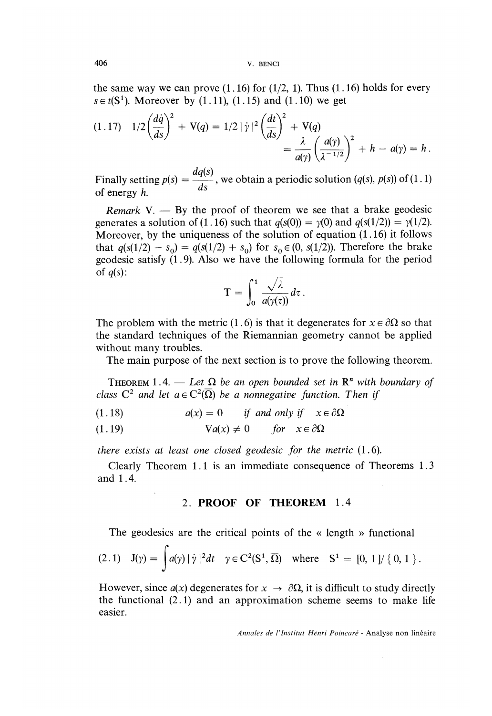the same way we can prove  $(1.16)$  for  $(1/2, 1)$ . Thus  $(1.16)$  holds for every  $s \in t(S^1)$ . Moreover by (1.11), (1.15) and (1.10) we get

$$
(1.17) \quad 1/2 \left(\frac{d\dot{q}}{ds}\right)^2 + V(q) = 1/2 |\dot{\gamma}|^2 \left(\frac{dt}{ds}\right)^2 + V(q) = \frac{\lambda}{a(\gamma)} \left(\frac{a(\gamma)}{\lambda^{-1/2}}\right)^2 + h - a(\gamma) = h.
$$

Finally setting  $p(s) = \frac{dq(s)}{ds}$ , we obtain a periodic solution (q(s),  $p(s)$ ) of (1.1) of energy  $h$ .

Remark V.  $-$  By the proof of theorem we see that a brake geodesic generates a solution of (1.16) such that  $q(s(0)) = \gamma(0)$  and  $q(s(1/2)) = \gamma(1/2)$ . Moreover, by the uniqueness of the solution of equation (1.16) it follows that  $q(s(1/2) - s_0) = q(s(1/2) + s_0)$  for  $s_0 \in (0, s(1/2))$ . Therefore the brake geodesic satisfy (1.9). Also we have the following formula for the period of  $q(s)$ :

$$
\mathrm{T}=\int_0^1\frac{\sqrt{\lambda}}{a(\gamma(\tau))}d\tau\,.
$$

The problem with the metric (1.6) is that it degenerates for  $x \in \partial \Omega$  so that the standard techniques of the Riemannian geometry cannot be applied without many troubles.

The main purpose of the next section is to prove the following theorem.

**THEOREM** 1.4. - Let  $\Omega$  be an open bounded set in  $\mathbb{R}^n$  with boundary of class  $C^2$  and let  $a \in C^2(\overline{\Omega})$  be a nonnegative function. Then if

- $a(x) = 0$  if and only if  $x \in \partial \Omega$  $(1.18)$
- $\nabla a(x) \neq 0$  for  $x \in \partial \Omega$  $(1.19)$

there exists at least one closed geodesic for the metric (1. 6).

Clearly Theorem 1.1 is an immediate consequence of Theorems 1.3 and 1. 4.

### 2. PROOF OF THEOREM 1.4

The geodesics are the critical points of the « length » functional

$$
(2.1) \quad J(\gamma) = \int a(\gamma) \, |\dot{\gamma}|^2 dt \quad \gamma \in C^2(S^1, \overline{\Omega}) \quad \text{where} \quad S^1 = [0, 1] / \{0, 1\}.
$$

However, since  $a(x)$  degenerates for  $x \to \partial \Omega$ , it is difficult to study directly the functional  $(2.1)$  and an approximation scheme seems to make life easier.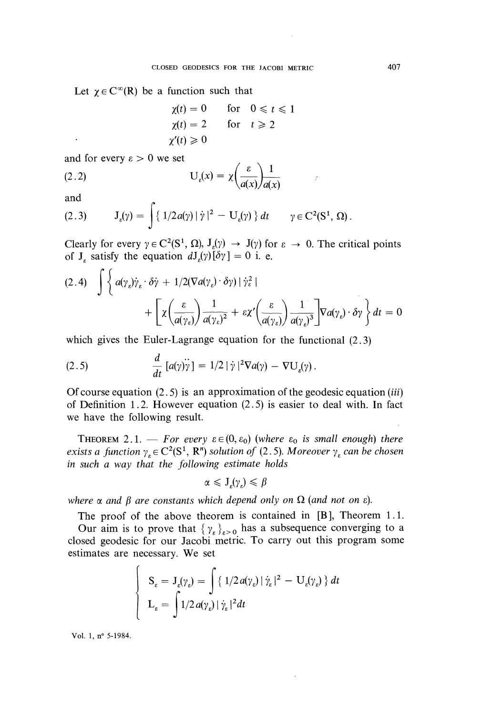Let  $\gamma \in C^{\infty}(\mathbb{R})$  be a function such that

$$
\begin{aligned}\n\chi(t) &= 0 & \text{for} & 0 \leq t \leq 1 \\
\chi(t) &= 2 & \text{for} & t \geq 2 \\
\chi'(t) &\geq 0 &\n\end{aligned}
$$

and for every  $\epsilon > 0$  we set

(2.2) 
$$
U_{\varepsilon}(x) = \chi \left( \frac{\varepsilon}{a(x)} \right) \frac{1}{a(x)}
$$

and

$$
(2.3) \qquad J_{\varepsilon}(\gamma) = \int \{ 1/2 a(\gamma) \, |\, \dot{\gamma} \, |^2 - U_{\varepsilon}(\gamma) \} \, dt \qquad \gamma \in C^2(\mathbb{S}^1, \, \Omega).
$$

Clearly for every  $\gamma \in C^2(S^1, \Omega)$ ,  $J_{\varepsilon}(\gamma) \to J(\gamma)$  for  $\varepsilon \to 0$ . The critical points of  $J_{\varepsilon}$  satisfy the equation  $dJ_{\varepsilon}(y)[\delta y] = 0$  i. e.

$$
(2.4) \quad \int \left\{ a(\gamma_{\varepsilon}) \dot{\gamma}_{\varepsilon} \cdot \delta \dot{\gamma} + 1/2 (\nabla a(\gamma_{\varepsilon}) \cdot \delta \gamma) \mid \dot{\gamma}_{\varepsilon}^{2} \mid \right.+ \left[ \chi \left( \frac{\varepsilon}{a(\gamma_{\varepsilon})} \right) \frac{1}{a(\gamma_{\varepsilon})^{2}} + \varepsilon \chi' \left( \frac{\varepsilon}{a(\gamma_{\varepsilon})} \right) \frac{1}{a(\gamma_{\varepsilon})^{3}} \right] \nabla a(\gamma_{\varepsilon}) \cdot \delta \gamma \right\} dt = 0
$$

which gives the Euler-Lagrange equation for the functional  $(2.3)$ 

(2.5) 
$$
\frac{d}{dt} [a(\gamma)\ddot{\gamma}] = 1/2 |\dot{\gamma}|^2 \nabla a(\gamma) - \nabla U_{\epsilon}(\gamma).
$$

Of course equation  $(2.5)$  is an approximation of the geodesic equation (*iii*) of Definition 1.2. However equation (2.5) is easier to deal with. In fact we have the following result.

THEOREM 2.1. - For every  $\varepsilon \in (0, \varepsilon_0)$  (where  $\varepsilon_0$  is small enough) there exists a function  $\gamma_{\varepsilon} \in C^2(S^1, R^n)$  solution of (2.5). Moreover  $\gamma_{\varepsilon}$  can be chosen in such a way that the following estimate holds

$$
\alpha \leqslant J_{\varepsilon}(\gamma_{\varepsilon}) \leqslant \beta
$$

where  $\alpha$  and  $\beta$  are constants which depend only on  $\Omega$  (and not on  $\varepsilon$ ).

The proof of the above theorem is contained in [B], Theorem 1.1. Our aim is to prove that  $\{\gamma_{\varepsilon}\}_{{\varepsilon}>0}$  has a subsequence converging to a closed geodesic for our Jacobi metric. To carry out this program some estimates are necessary. We set

$$
\begin{cases} S_{\varepsilon} = J_{\varepsilon}(\gamma_{\varepsilon}) = \int \{ 1/2 a(\gamma_{\varepsilon}) | \dot{\gamma}_{\varepsilon} |^2 - U_{\varepsilon}(\gamma_{\varepsilon}) \} dt \\ L_{\varepsilon} = \int 1/2 a(\gamma_{\varepsilon}) | \dot{\gamma}_{\varepsilon} |^2 dt \end{cases}
$$

Vol. 1, n° 5-1984.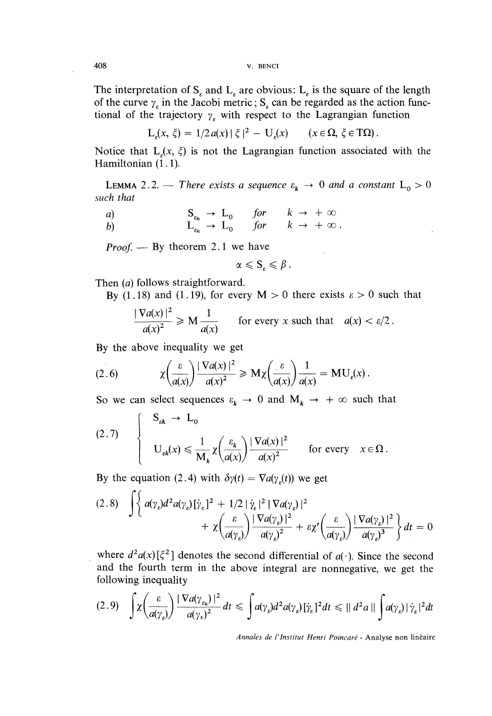The interpretation of  $S_{\epsilon}$  and  $L_{\epsilon}$  are obvious:  $L_{\epsilon}$  is the square of the length of the curve  $\gamma<sub>s</sub>$  in the Jacobi metric; S<sub>s</sub> can be regarded as the action functional of the trajectory  $\gamma$ , with respect to the Lagrangian function

$$
L_{\varepsilon}(x,\,\xi) = 1/2 a(x) |\xi|^2 - U_{\varepsilon}(x) \qquad (x \in \Omega, \,\xi \in T\Omega).
$$

Notice that  $L(x, \xi)$  is not the Lagrangian function associated with the Hamiltonian (1.1).

**LEMMA** 2.2. — There exists a sequence  $\varepsilon_k \to 0$  and a constant  $L_0 > 0$ such that

 $S_{\varepsilon_k} \to L_0 \quad for \quad k \to +\infty$ <br>  $L_{\varepsilon_k} \to L_0 \quad for \quad k \to +\infty.$  $\alpha$  $b$ 

*Proof.* — By theorem 2.1 we have

$$
\alpha \leqslant \mathbf{S}_{\varepsilon} \leqslant \beta
$$

Then (a) follows straightforward.

By (1.18) and (1.19), for every  $M > 0$  there exists  $\varepsilon > 0$  such that

$$
\frac{|\nabla a(x)|^2}{a(x)^2} \ge M \frac{1}{a(x)} \qquad \text{for every } x \text{ such that} \quad a(x) < \varepsilon/2 \,.
$$

By the above inequality we get

(2.6) 
$$
\chi\left(\frac{\varepsilon}{a(x)}\right) \frac{|\nabla a(x)|^2}{a(x)^2} \ge M\chi\left(\frac{\varepsilon}{a(x)}\right) \frac{1}{a(x)} = MU_{\varepsilon}(x).
$$

So we can select sequences  $\varepsilon_k \to 0$  and  $M_k \to +\infty$  such that

$$
(2.7) \qquad \begin{cases} \n\mathbf{S}_{\varepsilon k} \to \mathbf{L}_0 \\
\mathbf{U}_{\varepsilon k}(x) \leq \frac{1}{\mathbf{M}_k} \chi \left( \frac{\varepsilon_k}{a(x)} \right) \frac{|\nabla a(x)|^2}{a(x)^2} \qquad \text{for every} \quad x \in \Omega \, .\n\end{cases}
$$

By the equation (2.4) with  $\delta \gamma(t) = \nabla a(\gamma(t))$  we get

$$
(2.8) \quad \int \left\{ a(\gamma_{\varepsilon})d^2 a(\gamma_{\varepsilon})[\dot{\gamma}_{\varepsilon}]^2 + 1/2 |\dot{\gamma}_{\varepsilon}|^2 |\nabla a(\gamma_{\varepsilon})|^2 + \chi \left( \frac{\varepsilon}{a(\gamma_{\varepsilon})} \right) \frac{|\nabla a(\gamma_{\varepsilon})|^2}{a(\gamma_{\varepsilon})^2} + \varepsilon \chi' \left( \frac{\varepsilon}{a(\gamma_{\varepsilon})} \right) \frac{|\nabla a(\gamma_{\varepsilon})|^2}{a(\gamma_{\varepsilon})^3} \right\} dt = 0
$$

where  $d^2a(x)[\xi^2]$  denotes the second differential of  $a(\cdot)$ . Since the second and the fourth term in the above integral are nonnegative, we get the following inequality

$$
(2.9) \quad \int \chi \left(\frac{\varepsilon}{a(\gamma_{\varepsilon})}\right) \frac{|\nabla a(\gamma_{\varepsilon})|^2}{a(\gamma_{\varepsilon})^2} dt \leq \int a(\gamma_{\varepsilon}) d^2 a(\gamma_{\varepsilon}) [\dot{\gamma}_{\varepsilon}]^2 dt \leq ||d^2 a|| \int a(\gamma_{\varepsilon}) |\dot{\gamma}_{\varepsilon}|^2 dt
$$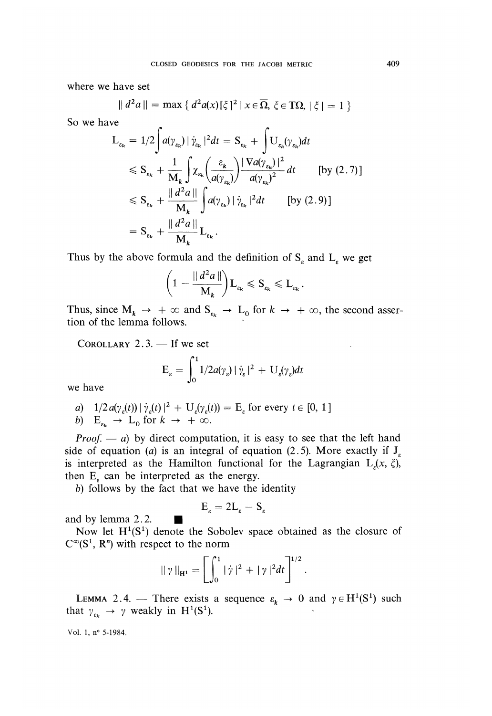where we have set

$$
\| d^2 a \| = \max \{ d^2 a(x) [\xi]^2 \, | \, x \in \overline{\Omega}, \, \xi \in \mathcal{T}\Omega, \, |\xi| = 1 \}
$$

So we have

$$
L_{\varepsilon_{k}} = 1/2 \int a(\gamma_{\varepsilon_{k}}) |\dot{\gamma}_{\varepsilon_{k}}|^{2} dt = S_{\varepsilon_{k}} + \int U_{\varepsilon_{k}}(\gamma_{\varepsilon_{k}}) dt
$$
  
\n
$$
\leq S_{\varepsilon_{k}} + \frac{1}{M_{k}} \int \chi_{\varepsilon_{k}} \left( \frac{\varepsilon_{k}}{a(\gamma_{\varepsilon_{k}})} \right) \frac{|\nabla a(\gamma_{\varepsilon_{k}})|^{2}}{a(\gamma_{\varepsilon_{k}})^{2}} dt \qquad \text{[by (2.7)]}
$$
  
\n
$$
\leq S_{\varepsilon_{k}} + \frac{||d^{2}a||}{M_{k}} \int a(\gamma_{\varepsilon_{k}}) |\dot{\gamma}_{\varepsilon_{k}}|^{2} dt \qquad \text{[by (2.9)]}
$$
  
\n
$$
= S_{\varepsilon_{k}} + \frac{||d^{2}a||}{M_{k}} L_{\varepsilon_{k}}.
$$

Thus by the above formula and the definition of  $S_{\varepsilon}$  and  $L_{\varepsilon}$  we get

$$
\left(1-\frac{\|d^2a\|}{M_k}\right)L_{\varepsilon_k}\leqslant S_{\varepsilon_k}\leqslant L_{\varepsilon_k}.
$$

Thus, since  $M_k \rightarrow +\infty$  and  $S_{\varepsilon_k} \rightarrow L_0$  for  $k \rightarrow +\infty$ , the second assertion of the lemma follows. '

COROLLARY  $2.3$ . - If we set

$$
E_{\varepsilon} = \int_0^1 1/2 a(\gamma_{\varepsilon}) |\dot{\gamma}_{\varepsilon}|^2 + U_{\varepsilon}(\gamma_{\varepsilon}) dt
$$

we have

a) 
$$
1/2 a(\gamma_{s}(t)) |\dot{\gamma}_{s}(t)|^2 + U_{s}(\gamma_{s}(t)) = E_{s}
$$
 for every  $t \in [0, 1]$ 

b) 
$$
E_{\varepsilon_k} \to L_0
$$
 for  $k \to +\infty$ .

*Proof.*  $- a$  by direct computation, it is easy to see that the left hand side of equation (a) is an integral of equation (2.5). More exactly if  $J_r$ is interpreted as the Hamilton functional for the Lagrangian  $L_{\varepsilon}(x, \xi)$ , then  $E_{\varepsilon}$  can be interpreted as the energy.

b) follows by the fact that we have the identity

$$
E_{\varepsilon} = 2L_{\varepsilon} - S_{\varepsilon}
$$

and by lemma 2.2.

Now let  $H^1(S^1)$  denote the Sobolev space obtained as the closure of  $C^{\infty}(S^1, R^n)$  with respect to the norm

$$
\|\gamma\|_{\mathbf{H}^{1}} = \left[\int_{0}^{1} |\dot{\gamma}|^{2} + |\gamma|^{2} dt\right]^{1/2}.
$$

LEMMA 2.4. - There exists a sequence  $\varepsilon_k \to 0$  and  $\gamma \in H^1(S^1)$  such that  $\gamma_{\varepsilon_k} \to \gamma$  weakly in  $H^1(S^1)$ .

Vol. 1, 
$$
n^{\circ}
$$
 5-1984.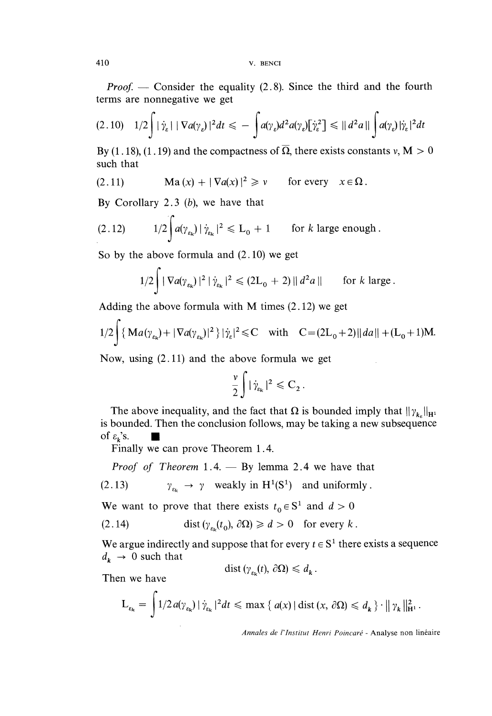*Proof.* — Consider the equality  $(2.8)$ . Since the third and the fourth terms are nonnegative we get

$$
(2.10) \quad 1/2 \int |\dot{\gamma}_\varepsilon| \, |\nabla a(\gamma_\varepsilon)|^2 dt \leqslant - \int a(\gamma_\varepsilon) d^2 a(\gamma_\varepsilon) [\dot{\gamma}_\varepsilon^2] \leqslant ||d^2 a|| \int a(\gamma_\varepsilon) |\dot{\gamma}_\varepsilon|^2 dt
$$

By (1.18), (1.19) and the compactness of  $\overline{\Omega}$ , there exists constants v, M  $> 0$ such that

(2.11) 
$$
\operatorname{Ma}(x) + |\nabla a(x)|^2 \geq v \quad \text{for every} \quad x \in \Omega.
$$

By Corollary 2.3 (b), we have that

 $\lambda$ 

(2.12) 
$$
1/2 \int a(\gamma_{\varepsilon_k}) |\dot{\gamma}_{\varepsilon_k}|^2 \leq L_0 + 1 \quad \text{for } k \text{ large enough.}
$$

So by the above formula and (2.10) we get

$$
1/2 \int |\nabla a(\gamma_{\varepsilon_k})|^2 |\dot{\gamma}_{\varepsilon_k}|^2 \leq (2L_0 + 2) ||d^2 a|| \quad \text{for } k \text{ large.}
$$

Adding the above formula with M times (2.12) we get

$$
1/2 \int {\{ Ma(\gamma_{\epsilon_k}) + |\nabla a(\gamma_{\epsilon_k})|^2 \}} |\dot{\gamma}_\epsilon|^2 \leq C \quad \text{with} \quad C = (2L_0 + 2) ||da|| + (L_0 + 1)M.
$$

Now, using (2.11) and the above formula we get

$$
\frac{\nu}{2}\int |\dot{\gamma}_{\varepsilon_k}|^2 \leqslant C_2.
$$

The above inequality, and the fact that  $\Omega$  is bounded imply that  $||\gamma_{k_e}||_{\mathrm{H}^1}$ is bounded. Then the conclusion follows, may be taking a new subsequence of  $\varepsilon_k$ 's.

Finally we can prove Theorem 1.4.

*Proof of Theorem* 1.4.  $-$  By lemma 2.4 we have that

(2.13)  $\gamma_{\varepsilon_k} \to \gamma$  weakly in H<sup>1</sup>(S<sup>1</sup>) and uniformly.

We want to prove that there exists  $t_0 \in S^1$  and  $d > 0$ 

(2.14) 
$$
\text{dist}\left(\gamma_{\varepsilon_k}(t_0), \partial \Omega\right) \geq d > 0 \quad \text{for every } k.
$$

We argue indirectly and suppose that for every  $t \in S^1$  there exists a sequence  $d_k \rightarrow 0$  such that

$$
\text{dist}\left(\gamma_{\varepsilon_{k}}(t),\,\partial\Omega\right)\leqslant d_{k}.
$$

Then we have

$$
L_{\varepsilon_k} = \int 1/2 a(\gamma_{\varepsilon_k}) |\dot{\gamma}_{\varepsilon_k}|^2 dt \le \max \{ a(x) | \text{dist} (x, \partial \Omega) \le d_k \} \cdot || \gamma_k ||_{\mathbf{H}^1}^2.
$$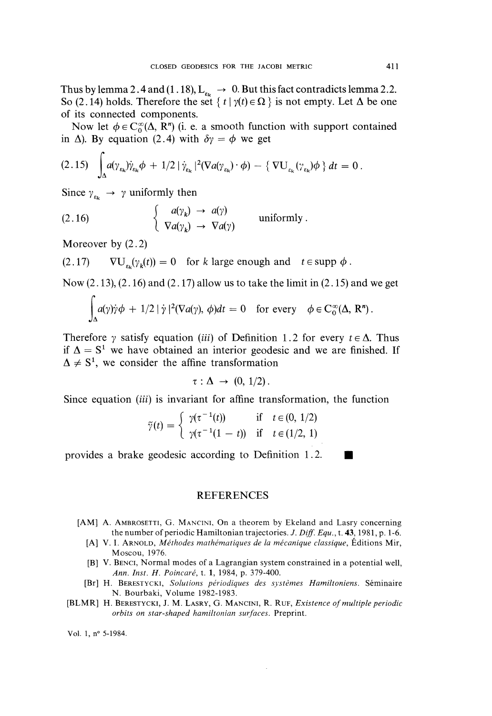Thus by lemma 2.4 and (1.18),  $L_{\epsilon_k} \rightarrow 0$ . But this fact contradicts lemma 2.2. So (2.14) holds. Therefore the set  $\{ t | \gamma(t) \in \Omega \}$  is not empty. Let  $\Delta$  be one of its connected components.

Now let  $\phi \in C_0^{\infty}(\Delta, R^n)$  (i. e. a smooth function with support contained in  $\Delta$ ). By equation (2.4) with  $\delta \gamma = \phi$  we get

$$
(2.15) \quad \int_{\Delta} a(\gamma_{\varepsilon_k}) \dot{\gamma}_{\varepsilon_k} \phi + 1/2 \left| \dot{\gamma}_{\varepsilon_k} \right|^2 (\nabla a(\gamma_{\varepsilon_k}) \cdot \phi) - \left\{ \nabla U_{\varepsilon_k} (\gamma_{\varepsilon_k}) \phi \right\} dt = 0.
$$

Since  $\gamma_{\varepsilon_k} \rightarrow \gamma$  uniformly then

(2.16) 
$$
\begin{cases} a(\gamma_k) \rightarrow a(\gamma) \\ \nabla a(\gamma_k) \rightarrow \nabla a(\gamma) \end{cases}
$$
 uniformly.

Moreover by (2.2)

 $(2.17)$   $\nabla U_{\varepsilon_k}(\gamma_k(t)) = 0$  for k large enough and  $t \in \text{supp } \phi$ .

Now  $(2.13)$ ,  $(2.16)$  and  $(2.17)$  allow us to take the limit in  $(2.15)$  and we get

$$
\int_{\Delta} a(\gamma)\dot{\gamma}\phi + 1/2 |\dot{\gamma}|^2 (\nabla a(\gamma), \phi) dt = 0 \text{ for every } \phi \in C_0^{\infty}(\Delta, R^n).
$$

Therefore  $\gamma$  satisfy equation (*iii*) of Definition 1.2 for every  $t \in \Delta$ . Thus if  $\Delta = S^1$  we have obtained an interior geodesic and we are finished. If  $\Delta \neq S^1$ , we consider the affine transformation

$$
\tau : \Delta \rightarrow (0, 1/2).
$$

Since equation *(iii)* is invariant for affine transformation, the function

$$
\widetilde{\gamma}(t) = \begin{cases}\n\gamma(\tau^{-1}(t)) & \text{if } t \in (0, 1/2) \\
\gamma(\tau^{-1}(1-t)) & \text{if } t \in (1/2, 1)\n\end{cases}
$$

provides a brake geodesic according to Definition 1.2.

### REFERENCES

- [AM] A. AMBROSETTI, G. MANCINI, On a theorem by Ekeland and Lasry concerning the number of periodic Hamiltonian trajectories. J. Diff. Equ., t. 43, 1981, p. 1-6.
	- [A] V. I. ARNOLD, Méthodes mathématiques de la mécanique classique, Éditions Mir, Moscou, 1976.
	- [B] V. BENCI, Normal modes of a Lagrangian system constrained in a potential well, Ann. Inst. H. Poincaré, t. 1, 1984, p. 379-400.
	- [Br] H. BERESTYCKI, Solutions périodiques des systèmes Hamiltoniens. Séminaire N. Bourbaki, Volume 1982-1983.
- [BLMR] H. BERESTYCKI, J. M. LASRY, G. MANCINI, R. RUF, Existence of multiple periodic orbits on star-shaped hamiltonian surfaces. Preprint.

Vol. 1, n° 5-1984.